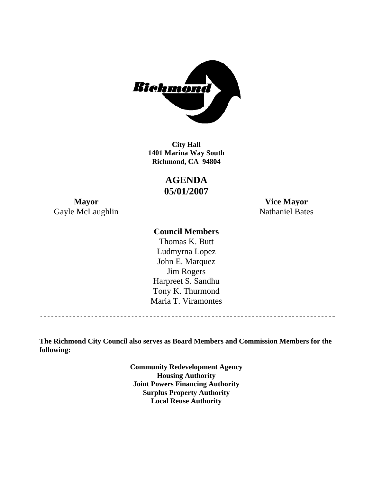

**1401 Marina Way South Richmond, CA 94804 City Hall** 

> **AGENDA 05/01/2007**

Gayle McLaughlin Nathaniel Bates

**Mayor Vice Mayor** 

# **Council Members**

Harpreet S. Sandhu Tony K. Thurmond Maria T. Viramontes Thomas K. Butt Ludmyrna Lopez John E. Marquez Jim Rogers

**The Richmond City Council also serves as Board Members and Commission Members for the following:** 

> **Community Redevelopment Agency Housing Authority Joint Powers Financing Authority Surplus Property Authority Local Reuse Authority**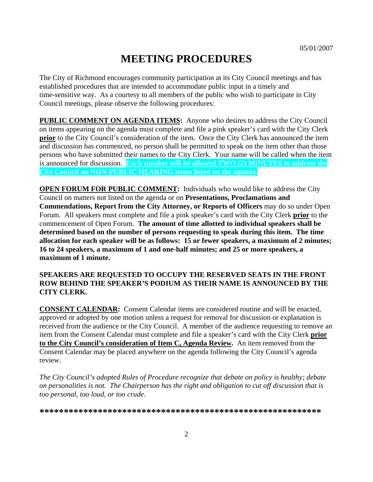# **MEETING PROCEDURES**

The City of Richmond encourages community participation at its City Council meetings and has established procedures that are intended to accommodate public input in a timely and time-sensitive way. As a courtesy to all members of the public who wish to participate in City Council meetings, please observe the following procedures:

**PUBLIC COMMENT ON AGENDA ITEMS:** Anyone who desires to address the City Council on items appearing on the agenda must complete and file a pink speaker's card with the City Clerk **prior** to the City Council's consideration of the item. Once the City Clerk has announced the item and discussion has commenced, no person shall be permitted to speak on the item other than those persons who have submitted their names to the City Clerk. Your name will be called when the item is announced for discussion. **Each speaker will be allowed TWO (2) MINUTES to address the City Council on NON-PUBLIC HEARING items listed on the agenda.** 

**OPEN FORUM FOR PUBLIC COMMENT:** Individuals who would like to address the City Council on matters not listed on the agenda or on **Presentations, Proclamations and Commendations, Report from the City Attorney, or Reports of Officers** may do so under Open Forum. All speakers must complete and file a pink speaker's card with the City Clerk **prior** to the commencement of Open Forum. **The amount of time allotted to individual speakers shall be determined based on the number of persons requesting to speak during this item. The time allocation for each speaker will be as follows: 15 or fewer speakers, a maximum of 2 minutes; 16 to 24 speakers, a maximum of 1 and one-half minutes; and 25 or more speakers, a maximum of 1 minute.** 

#### **SPEAKERS ARE REQUESTED TO OCCUPY THE RESERVED SEATS IN THE FRONT ROW BEHIND THE SPEAKER'S PODIUM AS THEIR NAME IS ANNOUNCED BY THE CITY CLERK.**

**CONSENT CALENDAR:** Consent Calendar items are considered routine and will be enacted, approved or adopted by one motion unless a request for removal for discussion or explanation is received from the audience or the City Council. A member of the audience requesting to remove an item from the Consent Calendar must complete and file a speaker's card with the City Clerk **prior to the City Council's consideration of Item C, Agenda Review.** An item removed from the Consent Calendar may be placed anywhere on the agenda following the City Council's agenda review.

*The City Council's adopted Rules of Procedure recognize that debate on policy is healthy; debate on personalities is not. The Chairperson has the right and obligation to cut off discussion that is too personal, too loud, or too crude.* 

**\*\*\*\*\*\*\*\*\*\*\*\*\*\*\*\*\*\*\*\*\*\*\*\*\*\*\*\*\*\*\*\*\*\*\*\*\*\*\*\*\*\*\*\*\*\*\*\*\*\*\*\*\*\*\*\*\*\***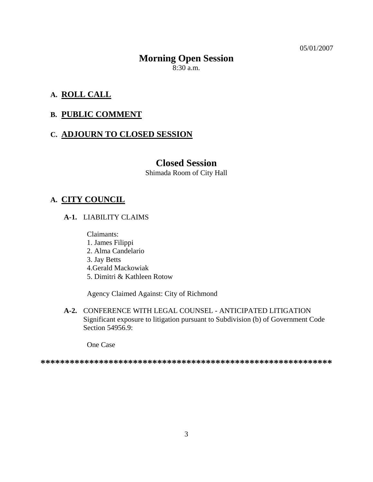05/01/2007

# **Morning Open Session**

 $8:30$  a.m.

# **A. ROLL CALL**

# **B. PUBLIC COMMENT**

#### **C. ADJOURN TO CLOSED SESSION**

# **Closed Session**

Shimada Room of City Hall

# **A. CITY COUNCIL**

 **A-1.** LIABILITY CLAIMS

Claimants:

- 1. James Filippi
- 2. Alma Candelario
- 3. Jay Betts
- 4.Gerald Mackowiak
- 5. Dimitri & Kathleen Rotow

Agency Claimed Against: City of Richmond

 **A-2.** CONFERENCE WITH LEGAL COUNSEL - ANTICIPATED LITIGATION Significant exposure to litigation pursuant to Subdivision (b) of Government Code Section 54956.9:

One Case

**\*\*\*\*\*\*\*\*\*\*\*\*\*\*\*\*\*\*\*\*\*\*\*\*\*\*\*\*\*\*\*\*\*\*\*\*\*\*\*\*\*\*\*\*\*\*\*\*\*\*\*\*\*\*\*\*\*\*\*\***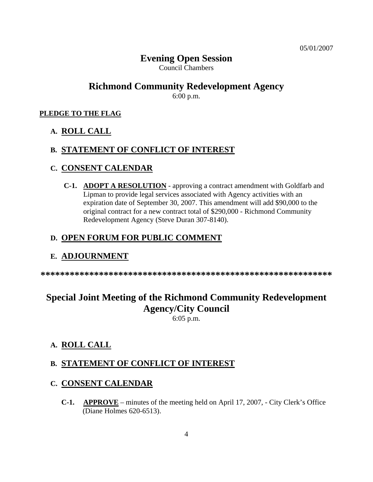# **Evening Open Session**

Council Chambers

# **Richmond Community Redevelopment Agency**

6:00 p.m.

#### **PLEDGE TO THE FLAG**

#### **A. ROLL CALL**

#### **B. STATEMENT OF CONFLICT OF INTEREST**

### **C. CONSENT CALENDAR**

 **C-1. ADOPT A RESOLUTION** - approving a contract amendment with Goldfarb and Lipman to provide legal services associated with Agency activities with an expiration date of September 30, 2007. This amendment will add \$90,000 to the original contract for a new contract total of \$290,000 - Richmond Community Redevelopment Agency (Steve Duran 307-8140).

#### **D. OPEN FORUM FOR PUBLIC COMMENT**

#### **E. ADJOURNMENT**

**\*\*\*\*\*\*\*\*\*\*\*\*\*\*\*\*\*\*\*\*\*\*\*\*\*\*\*\*\*\*\*\*\*\*\*\*\*\*\*\*\*\*\*\*\*\*\*\*\*\*\*\*\*\*\*\*\*\*\*\*** 

# **Special Joint Meeting of the Richmond Community Redevelopment Agency/City Council**

6:05 p.m.

#### **A. ROLL CALL**

#### **B. STATEMENT OF CONFLICT OF INTEREST**

#### **C. CONSENT CALENDAR**

**C-1. APPROVE** – minutes of the meeting held on April 17, 2007, - City Clerk's Office (Diane Holmes 620-6513).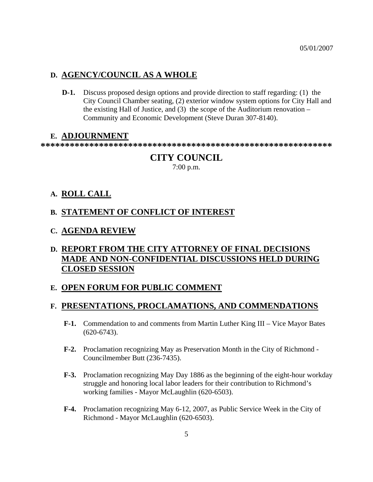## **D. AGENCY/COUNCIL AS A WHOLE**

**D-1.** Discuss proposed design options and provide direction to staff regarding: (1) the City Council Chamber seating, (2) exterior window system options for City Hall and the existing Hall of Justice, and (3) the scope of the Auditorium renovation – Community and Economic Development (Steve Duran 307-8140).

#### **E. ADJOURNMENT**

**\*\*\*\*\*\*\*\*\*\*\*\*\*\*\*\*\*\*\*\*\*\*\*\*\*\*\*\*\*\*\*\*\*\*\*\*\*\*\*\*\*\*\*\*\*\*\*\*\*\*\*\*\*\*\*\*\*\*\*\*** 

# **CITY COUNCIL**

7:00 p.m.

## **A. ROLL CALL**

### **B. STATEMENT OF CONFLICT OF INTEREST**

### **C. AGENDA REVIEW**

# **D. REPORT FROM THE CITY ATTORNEY OF FINAL DECISIONS MADE AND NON-CONFIDENTIAL DISCUSSIONS HELD DURING CLOSED SESSION**

## **E. OPEN FORUM FOR PUBLIC COMMENT**

#### **F. PRESENTATIONS, PROCLAMATIONS, AND COMMENDATIONS**

- **F-1.** Commendation to and comments from Martin Luther King III Vice Mayor Bates (620-6743).
- **F-2.** Proclamation recognizing May as Preservation Month in the City of Richmond Councilmember Butt (236-7435).
- **F-3.** Proclamation recognizing May Day 1886 as the beginning of the eight-hour workday struggle and honoring local labor leaders for their contribution to Richmond's working families - Mayor McLaughlin (620-6503).
- **F-4.** Proclamation recognizing May 6-12, 2007, as Public Service Week in the City of Richmond - Mayor McLaughlin (620-6503).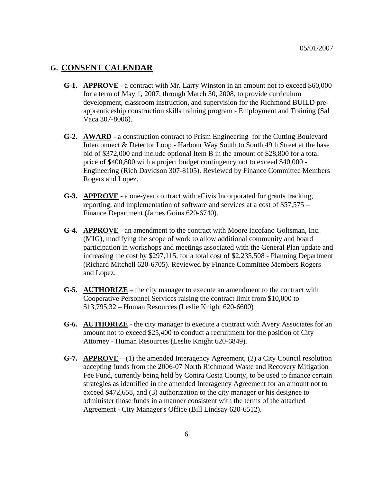#### **G. CONSENT CALENDAR**

- **G-1. APPROVE** a contract with Mr. Larry Winston in an amount not to exceed \$60,000 for a term of May 1, 2007, through March 30, 2008, to provide curriculum development, classroom instruction, and supervision for the Richmond BUILD preapprenticeship construction skills training program - Employment and Training (Sal Vaca 307-8006).
- **G-2. AWARD** a construction contract to Prism Engineering for the Cutting Boulevard Interconnect & Detector Loop - Harbour Way South to South 49th Street at the base bid of \$372,000 and include optional Item B in the amount of \$28,800 for a total price of \$400,800 with a project budget contingency not to exceed \$40,000 - Engineering (Rich Davidson 307-8105). Reviewed by Finance Committee Members Rogers and Lopez.
- **G-3. APPROVE** a one-year contract with eCivis Incorporated for grants tracking, reporting, and implementation of software and services at a cost of \$57,575 – Finance Department (James Goins 620-6740).
- **G-4. APPROVE** an amendment to the contract with Moore Iacofano Goltsman, Inc. (MIG), modifying the scope of work to allow additional community and board participation in workshops and meetings associated with the General Plan update and increasing the cost by \$297,115, for a total cost of \$2,235,508 - Planning Department (Richard Mitchell 620-6705). Reviewed by Finance Committee Members Rogers and Lopez.
- **G-5. AUTHORIZE** the city manager to execute an amendment to the contract with Cooperative Personnel Services raising the contract limit from \$10,000 to \$13,795.32 – Human Resources (Leslie Knight 620-6600)
- **G-6. AUTHORIZE** the city manager to execute a contract with Avery Associates for an amount not to exceed \$25,400 to conduct a recruitment for the position of City Attorney - Human Resources (Leslie Knight 620-6849).
- **G-7. APPROVE** (1) the amended Interagency Agreement, (2) a City Council resolution accepting funds from the 2006-07 North Richmond Waste and Recovery Mitigation Fee Fund, currently being held by Contra Costa County, to be used to finance certain strategies as identified in the amended Interagency Agreement for an amount not to exceed \$472,658, and (3) authorization to the city manager or his designee to administer those funds in a manner consistent with the terms of the attached Agreement - City Manager's Office (Bill Lindsay 620-6512).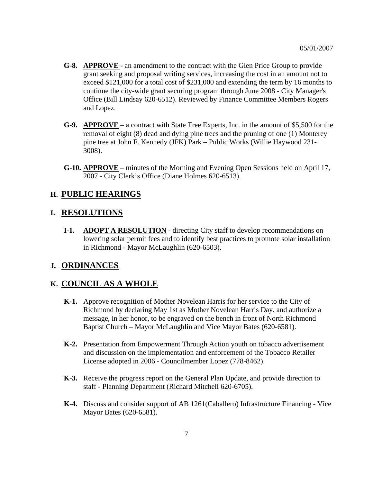- **G-8. APPROVE**  an amendment to the contract with the Glen Price Group to provide grant seeking and proposal writing services, increasing the cost in an amount not to exceed \$121,000 for a total cost of \$231,000 and extending the term by 16 months to continue the city-wide grant securing program through June 2008 - City Manager's Office (Bill Lindsay 620-6512). Reviewed by Finance Committee Members Rogers and Lopez.
- **G-9. APPROVE** a contract with State Tree Experts, Inc. in the amount of \$5,500 for the removal of eight (8) dead and dying pine trees and the pruning of one (1) Monterey pine tree at John F. Kennedy (JFK) Park – Public Works (Willie Haywood 231- 3008).
- **G-10. APPROVE** minutes of the Morning and Evening Open Sessions held on April 17, 2007 - City Clerk's Office (Diane Holmes 620-6513).

### **H. PUBLIC HEARINGS**

#### **I. RESOLUTIONS**

 **I-1. ADOPT A RESOLUTION** - directing City staff to develop recommendations on lowering solar permit fees and to identify best practices to promote solar installation in Richmond - Mayor McLaughlin (620-6503).

#### **J. ORDINANCES**

# **K. COUNCIL AS A WHOLE**

- **K-1.** Approve recognition of Mother Novelean Harris for her service to the City of Richmond by declaring May 1st as Mother Novelean Harris Day, and authorize a message, in her honor, to be engraved on the bench in front of North Richmond Baptist Church – Mayor McLaughlin and Vice Mayor Bates (620-6581).
- **K-2.** Presentation from Empowerment Through Action youth on tobacco advertisement and discussion on the implementation and enforcement of the Tobacco Retailer License adopted in 2006 - Councilmember Lopez (778-8462).
- **K-3.** Receive the progress report on the General Plan Update, and provide direction to staff - Planning Department (Richard Mitchell 620-6705).
- **K-4.** Discuss and consider support of AB 1261(Caballero) Infrastructure Financing Vice Mayor Bates (620-6581).